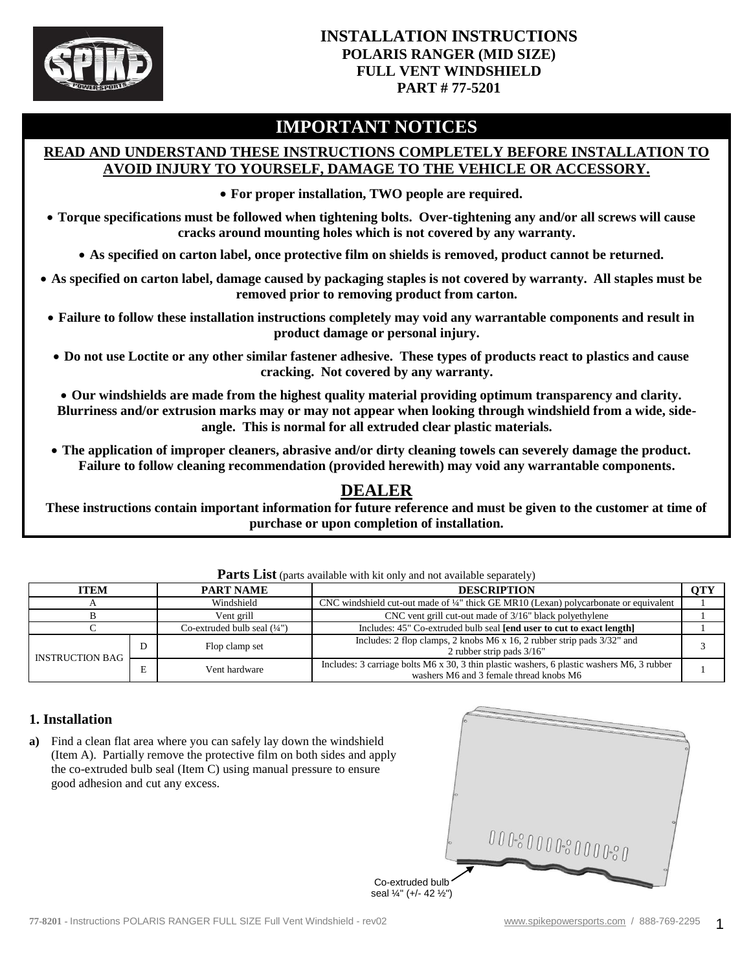

### **INSTALLATION INSTRUCTIONS POLARIS RANGER (MID SIZE) FULL VENT WINDSHIELD PART # 77-5201**

# **IMPORTANT NOTICES**

### **READ AND UNDERSTAND THESE INSTRUCTIONS COMPLETELY BEFORE INSTALLATION TO AVOID INJURY TO YOURSELF, DAMAGE TO THE VEHICLE OR ACCESSORY.**

**For proper installation, TWO people are required.**

 **Torque specifications must be followed when tightening bolts. Over-tightening any and/or all screws will cause cracks around mounting holes which is not covered by any warranty.**

**As specified on carton label, once protective film on shields is removed, product cannot be returned.**

 **As specified on carton label, damage caused by packaging staples is not covered by warranty. All staples must be removed prior to removing product from carton.**

- **Failure to follow these installation instructions completely may void any warrantable components and result in product damage or personal injury.**
- **Do not use Loctite or any other similar fastener adhesive. These types of products react to plastics and cause cracking. Not covered by any warranty.**

 **Our windshields are made from the highest quality material providing optimum transparency and clarity. Blurriness and/or extrusion marks may or may not appear when looking through windshield from a wide, sideangle. This is normal for all extruded clear plastic materials.**

 **The application of improper cleaners, abrasive and/or dirty cleaning towels can severely damage the product. Failure to follow cleaning recommendation (provided herewith) may void any warrantable components.**

## **DEALER**

**These instructions contain important information for future reference and must be given to the customer at time of purchase or upon completion of installation.**

| <b>ITEM</b>            |   | <b>PART NAME</b>               | <b>DESCRIPTION</b>                                                                                                                    | <b>OTY</b> |
|------------------------|---|--------------------------------|---------------------------------------------------------------------------------------------------------------------------------------|------------|
|                        |   | Windshield                     | CNC windshield cut-out made of $\frac{1}{4}$ " thick GE MR10 (Lexan) polycarbonate or equivalent                                      |            |
|                        |   | Vent grill                     | CNC vent grill cut-out made of 3/16" black polyethylene                                                                               |            |
|                        |   | Co-extruded bulb seal $(1/4")$ | Includes: 45" Co-extruded bulb seal [end user to cut to exact length]                                                                 |            |
| <b>INSTRUCTION BAG</b> | D | Flop clamp set                 | Includes: 2 flop clamps, 2 knobs M6 x 16, 2 rubber strip pads 3/32" and<br>2 rubber strip pads $3/16"$                                |            |
|                        |   | Vent hardware                  | Includes: 3 carriage bolts M6 x 30, 3 thin plastic washers, 6 plastic washers M6, 3 rubber<br>washers M6 and 3 female thread knobs M6 |            |

**Parts List** (parts available with kit only and not available separately)

#### **1. Installation**

**a)** Find a clean flat area where you can safely lay down the windshield (Item A). Partially remove the protective film on both sides and apply the co-extruded bulb seal (Item C) using manual pressure to ensure good adhesion and cut any excess.

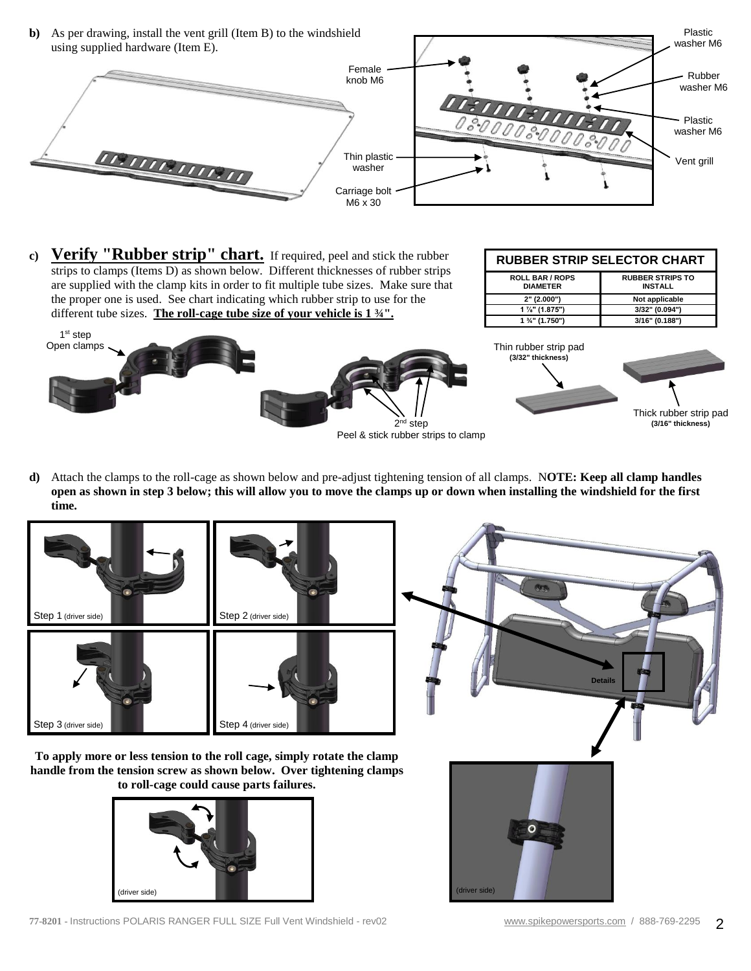**b)** As per drawing, install the vent grill (Item B) to the windshield using supplied hardware (Item E).



**c) Verify "Rubber strip" chart.** If required, peel and stick the rubber strips to clamps (Items D) as shown below. Different thicknesses of rubber strips are supplied with the clamp kits in order to fit multiple tube sizes. Make sure that the proper one is used. See chart indicating which rubber strip to use for the different tube sizes. **The roll-cage tube size of your vehicle is 1 ¾".**

| <b>RUBBER STRIP SELECTOR CHART</b>        |                                           |  |  |  |  |
|-------------------------------------------|-------------------------------------------|--|--|--|--|
| <b>ROLL BAR / ROPS</b><br><b>DIAMETER</b> | <b>RUBBER STRIPS TO</b><br><b>INSTALL</b> |  |  |  |  |
| 2" (2.000")                               | Not applicable                            |  |  |  |  |
| $1\frac{7}{8}$ " (1.875")                 | 3/32" (0.094")                            |  |  |  |  |
| $1\frac{3}{4}$ " (1.750")                 | 3/16" (0.188")                            |  |  |  |  |

Plastic



**d)** Attach the clamps to the roll-cage as shown below and pre-adjust tightening tension of all clamps. N**OTE: Keep all clamp handles open as shown in step 3 below; this will allow you to move the clamps up or down when installing the windshield for the first time.**



**77-8201 -** Instructions POLARIS RANGER FULL SIZE Full Vent Windshield - rev02 [www.spikepowersports.com](http://www.spikepowersports.com/) / 888-769-2295 2